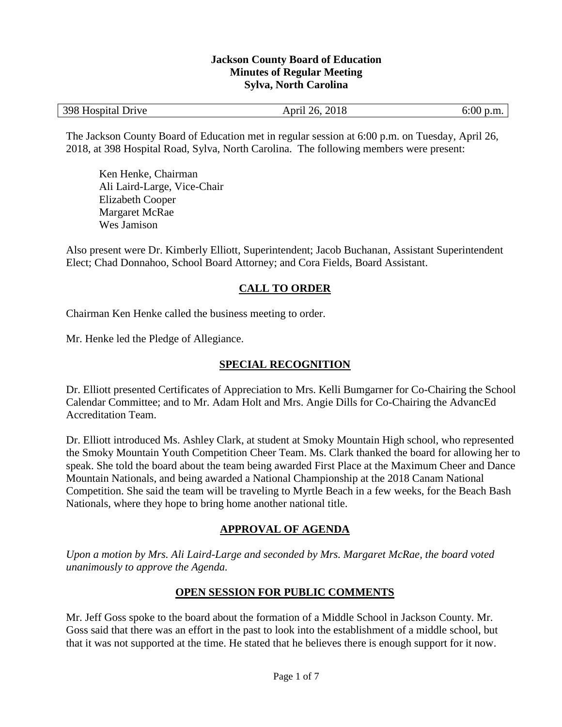### **Jackson County Board of Education Minutes of Regular Meeting Sylva, North Carolina**

| 398 Hospital Drive<br>2018<br>6:00<br>April 26,<br>$\mathfrak{p}$ .m. |
|-----------------------------------------------------------------------|
|-----------------------------------------------------------------------|

The Jackson County Board of Education met in regular session at 6:00 p.m. on Tuesday, April 26, 2018, at 398 Hospital Road, Sylva, North Carolina. The following members were present:

Ken Henke, Chairman Ali Laird-Large, Vice-Chair Elizabeth Cooper Margaret McRae Wes Jamison

Also present were Dr. Kimberly Elliott, Superintendent; Jacob Buchanan, Assistant Superintendent Elect; Chad Donnahoo, School Board Attorney; and Cora Fields, Board Assistant.

# **CALL TO ORDER**

Chairman Ken Henke called the business meeting to order.

Mr. Henke led the Pledge of Allegiance.

## **SPECIAL RECOGNITION**

Dr. Elliott presented Certificates of Appreciation to Mrs. Kelli Bumgarner for Co-Chairing the School Calendar Committee; and to Mr. Adam Holt and Mrs. Angie Dills for Co-Chairing the AdvancEd Accreditation Team.

Dr. Elliott introduced Ms. Ashley Clark, at student at Smoky Mountain High school, who represented the Smoky Mountain Youth Competition Cheer Team. Ms. Clark thanked the board for allowing her to speak. She told the board about the team being awarded First Place at the Maximum Cheer and Dance Mountain Nationals, and being awarded a National Championship at the 2018 Canam National Competition. She said the team will be traveling to Myrtle Beach in a few weeks, for the Beach Bash Nationals, where they hope to bring home another national title.

## **APPROVAL OF AGENDA**

*Upon a motion by Mrs. Ali Laird-Large and seconded by Mrs. Margaret McRae, the board voted unanimously to approve the Agenda.*

## **OPEN SESSION FOR PUBLIC COMMENTS**

Mr. Jeff Goss spoke to the board about the formation of a Middle School in Jackson County. Mr. Goss said that there was an effort in the past to look into the establishment of a middle school, but that it was not supported at the time. He stated that he believes there is enough support for it now.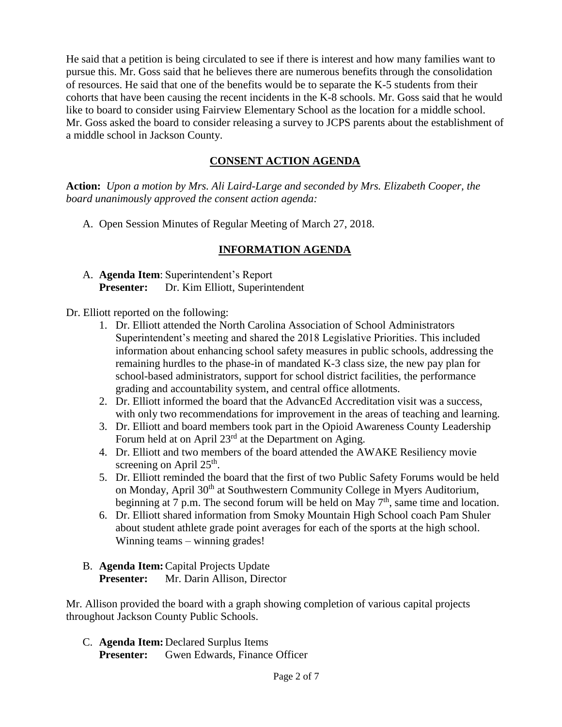He said that a petition is being circulated to see if there is interest and how many families want to pursue this. Mr. Goss said that he believes there are numerous benefits through the consolidation of resources. He said that one of the benefits would be to separate the K-5 students from their cohorts that have been causing the recent incidents in the K-8 schools. Mr. Goss said that he would like to board to consider using Fairview Elementary School as the location for a middle school. Mr. Goss asked the board to consider releasing a survey to JCPS parents about the establishment of a middle school in Jackson County.

# **CONSENT ACTION AGENDA**

**Action:** *Upon a motion by Mrs. Ali Laird-Large and seconded by Mrs. Elizabeth Cooper, the board unanimously approved the consent action agenda:*

A. Open Session Minutes of Regular Meeting of March 27, 2018.

# **INFORMATION AGENDA**

A. **Agenda Item**: Superintendent's Report **Presenter:** Dr. Kim Elliott, Superintendent

Dr. Elliott reported on the following:

- 1. Dr. Elliott attended the North Carolina Association of School Administrators Superintendent's meeting and shared the 2018 Legislative Priorities. This included information about enhancing school safety measures in public schools, addressing the remaining hurdles to the phase-in of mandated K-3 class size, the new pay plan for school-based administrators, support for school district facilities, the performance grading and accountability system, and central office allotments.
- 2. Dr. Elliott informed the board that the AdvancEd Accreditation visit was a success, with only two recommendations for improvement in the areas of teaching and learning.
- 3. Dr. Elliott and board members took part in the Opioid Awareness County Leadership Forum held at on April 23<sup>rd</sup> at the Department on Aging.
- 4. Dr. Elliott and two members of the board attended the AWAKE Resiliency movie screening on April  $25<sup>th</sup>$ .
- 5. Dr. Elliott reminded the board that the first of two Public Safety Forums would be held on Monday, April 30<sup>th</sup> at Southwestern Community College in Myers Auditorium, beginning at 7 p.m. The second forum will be held on May  $7<sup>th</sup>$ , same time and location.
- 6. Dr. Elliott shared information from Smoky Mountain High School coach Pam Shuler about student athlete grade point averages for each of the sports at the high school. Winning teams – winning grades!
- B. **Agenda Item:**Capital Projects Update **Presenter:** Mr. Darin Allison, Director

Mr. Allison provided the board with a graph showing completion of various capital projects throughout Jackson County Public Schools.

C. **Agenda Item:** Declared Surplus Items **Presenter:** Gwen Edwards, Finance Officer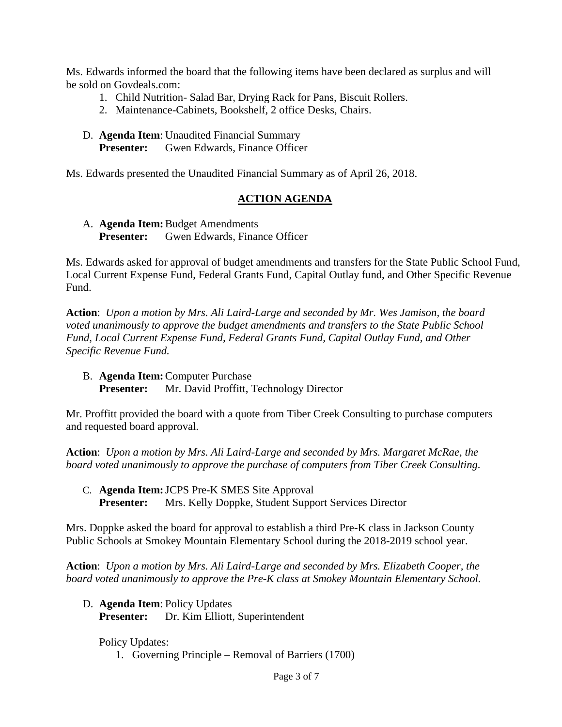Ms. Edwards informed the board that the following items have been declared as surplus and will be sold on Govdeals.com:

- 1. Child Nutrition- Salad Bar, Drying Rack for Pans, Biscuit Rollers.
- 2. Maintenance-Cabinets, Bookshelf, 2 office Desks, Chairs.
- D. **Agenda Item**: Unaudited Financial Summary **Presenter:** Gwen Edwards, Finance Officer

Ms. Edwards presented the Unaudited Financial Summary as of April 26, 2018.

## **ACTION AGENDA**

A. **Agenda Item:**Budget Amendments **Presenter:** Gwen Edwards, Finance Officer

Ms. Edwards asked for approval of budget amendments and transfers for the State Public School Fund, Local Current Expense Fund, Federal Grants Fund, Capital Outlay fund, and Other Specific Revenue Fund.

**Action**: *Upon a motion by Mrs. Ali Laird-Large and seconded by Mr. Wes Jamison, the board voted unanimously to approve the budget amendments and transfers to the State Public School Fund, Local Current Expense Fund, Federal Grants Fund, Capital Outlay Fund, and Other Specific Revenue Fund.*

B. **Agenda Item:**Computer Purchase **Presenter:** Mr. David Proffitt, Technology Director

Mr. Proffitt provided the board with a quote from Tiber Creek Consulting to purchase computers and requested board approval.

**Action**: *Upon a motion by Mrs. Ali Laird-Large and seconded by Mrs. Margaret McRae, the board voted unanimously to approve the purchase of computers from Tiber Creek Consulting.*

C. **Agenda Item:**JCPS Pre-K SMES Site Approval **Presenter:** Mrs. Kelly Doppke, Student Support Services Director

Mrs. Doppke asked the board for approval to establish a third Pre-K class in Jackson County Public Schools at Smokey Mountain Elementary School during the 2018-2019 school year.

**Action**: *Upon a motion by Mrs. Ali Laird-Large and seconded by Mrs. Elizabeth Cooper, the board voted unanimously to approve the Pre-K class at Smokey Mountain Elementary School.*

D. **Agenda Item**: Policy Updates

**Presenter:** Dr. Kim Elliott, Superintendent

Policy Updates:

1. Governing Principle – Removal of Barriers (1700)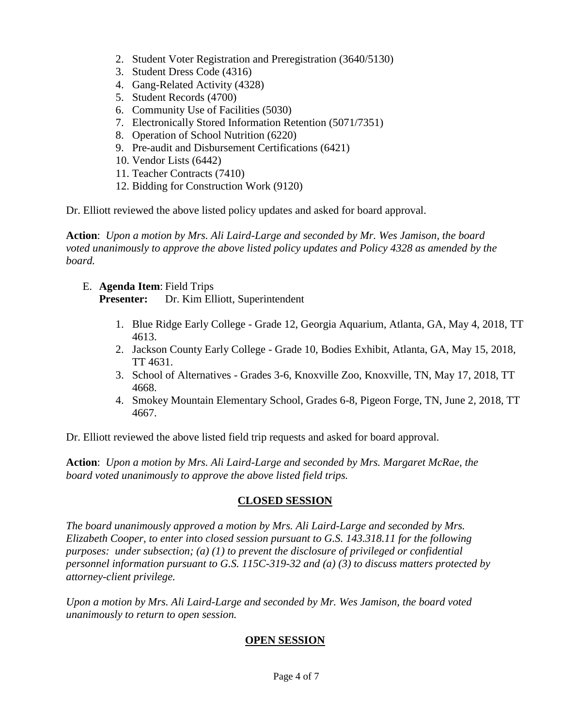- 2. Student Voter Registration and Preregistration (3640/5130)
- 3. Student Dress Code (4316)
- 4. Gang-Related Activity (4328)
- 5. Student Records (4700)
- 6. Community Use of Facilities (5030)
- 7. Electronically Stored Information Retention (5071/7351)
- 8. Operation of School Nutrition (6220)
- 9. Pre-audit and Disbursement Certifications (6421)
- 10. Vendor Lists (6442)
- 11. Teacher Contracts (7410)
- 12. Bidding for Construction Work (9120)

Dr. Elliott reviewed the above listed policy updates and asked for board approval.

**Action**: *Upon a motion by Mrs. Ali Laird-Large and seconded by Mr. Wes Jamison, the board voted unanimously to approve the above listed policy updates and Policy 4328 as amended by the board.*

E. **Agenda Item**: Field Trips

**Presenter:** Dr. Kim Elliott, Superintendent

- 1. Blue Ridge Early College Grade 12, Georgia Aquarium, Atlanta, GA, May 4, 2018, TT 4613.
- 2. Jackson County Early College Grade 10, Bodies Exhibit, Atlanta, GA, May 15, 2018, TT 4631.
- 3. School of Alternatives Grades 3-6, Knoxville Zoo, Knoxville, TN, May 17, 2018, TT 4668.
- 4. Smokey Mountain Elementary School, Grades 6-8, Pigeon Forge, TN, June 2, 2018, TT 4667.

Dr. Elliott reviewed the above listed field trip requests and asked for board approval.

**Action**: *Upon a motion by Mrs. Ali Laird-Large and seconded by Mrs. Margaret McRae, the board voted unanimously to approve the above listed field trips.*

#### **CLOSED SESSION**

*The board unanimously approved a motion by Mrs. Ali Laird-Large and seconded by Mrs. Elizabeth Cooper, to enter into closed session pursuant to G.S. 143.318.11 for the following purposes: under subsection; (a) (1) to prevent the disclosure of privileged or confidential personnel information pursuant to G.S. 115C-319-32 and (a) (3) to discuss matters protected by attorney-client privilege.* 

*Upon a motion by Mrs. Ali Laird-Large and seconded by Mr. Wes Jamison, the board voted unanimously to return to open session.*

# **OPEN SESSION**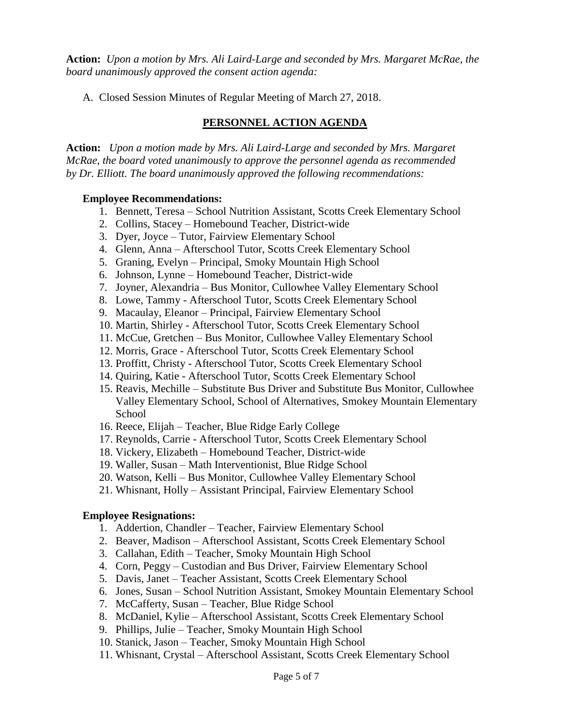**Action:** *Upon a motion by Mrs. Ali Laird-Large and seconded by Mrs. Margaret McRae, the board unanimously approved the consent action agenda:*

A. Closed Session Minutes of Regular Meeting of March 27, 2018.

# **PERSONNEL ACTION AGENDA**

**Action:** *Upon a motion made by Mrs. Ali Laird-Large and seconded by Mrs. Margaret McRae, the board voted unanimously to approve the personnel agenda as recommended by Dr. Elliott. The board unanimously approved the following recommendations:*

#### **Employee Recommendations:**

- 1. Bennett, Teresa School Nutrition Assistant, Scotts Creek Elementary School
- 2. Collins, Stacey Homebound Teacher, District-wide
- 3. Dyer, Joyce Tutor, Fairview Elementary School
- 4. Glenn, Anna Afterschool Tutor, Scotts Creek Elementary School
- 5. Graning, Evelyn Principal, Smoky Mountain High School
- 6. Johnson, Lynne Homebound Teacher, District-wide
- 7. Joyner, Alexandria Bus Monitor, Cullowhee Valley Elementary School
- 8. Lowe, Tammy Afterschool Tutor, Scotts Creek Elementary School
- 9. Macaulay, Eleanor Principal, Fairview Elementary School
- 10. Martin, Shirley Afterschool Tutor, Scotts Creek Elementary School
- 11. McCue, Gretchen Bus Monitor, Cullowhee Valley Elementary School
- 12. Morris, Grace Afterschool Tutor, Scotts Creek Elementary School
- 13. Proffitt, Christy Afterschool Tutor, Scotts Creek Elementary School
- 14. Quiring, Katie Afterschool Tutor, Scotts Creek Elementary School
- 15. Reavis, Mechille Substitute Bus Driver and Substitute Bus Monitor, Cullowhee Valley Elementary School, School of Alternatives, Smokey Mountain Elementary School
- 16. Reece, Elijah Teacher, Blue Ridge Early College
- 17. Reynolds, Carrie Afterschool Tutor, Scotts Creek Elementary School
- 18. Vickery, Elizabeth Homebound Teacher, District-wide
- 19. Waller, Susan Math Interventionist, Blue Ridge School
- 20. Watson, Kelli Bus Monitor, Cullowhee Valley Elementary School
- 21. Whisnant, Holly Assistant Principal, Fairview Elementary School

## **Employee Resignations:**

- 1. Addertion, Chandler Teacher, Fairview Elementary School
- 2. Beaver, Madison Afterschool Assistant, Scotts Creek Elementary School
- 3. Callahan, Edith Teacher, Smoky Mountain High School
- 4. Corn, Peggy Custodian and Bus Driver, Fairview Elementary School
- 5. Davis, Janet Teacher Assistant, Scotts Creek Elementary School
- 6. Jones, Susan School Nutrition Assistant, Smokey Mountain Elementary School
- 7. McCafferty, Susan Teacher, Blue Ridge School
- 8. McDaniel, Kylie Afterschool Assistant, Scotts Creek Elementary School
- 9. Phillips, Julie Teacher, Smoky Mountain High School
- 10. Stanick, Jason Teacher, Smoky Mountain High School
- 11. Whisnant, Crystal Afterschool Assistant, Scotts Creek Elementary School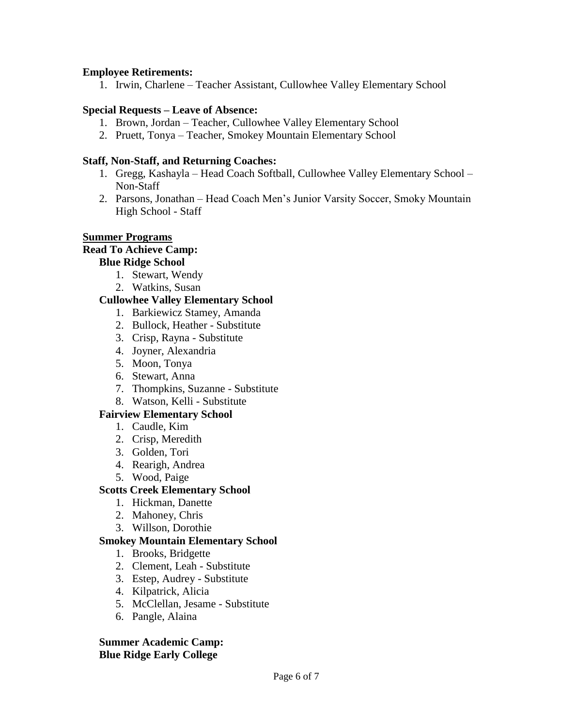#### **Employee Retirements:**

1. Irwin, Charlene – Teacher Assistant, Cullowhee Valley Elementary School

#### **Special Requests – Leave of Absence:**

- 1. Brown, Jordan Teacher, Cullowhee Valley Elementary School
- 2. Pruett, Tonya Teacher, Smokey Mountain Elementary School

### **Staff, Non-Staff, and Returning Coaches:**

- 1. Gregg, Kashayla Head Coach Softball, Cullowhee Valley Elementary School Non-Staff
- 2. Parsons, Jonathan Head Coach Men's Junior Varsity Soccer, Smoky Mountain High School - Staff

#### **Summer Programs**

#### **Read To Achieve Camp:**

#### **Blue Ridge School**

- 1. Stewart, Wendy
- 2. Watkins, Susan

### **Cullowhee Valley Elementary School**

- 1. Barkiewicz Stamey, Amanda
- 2. Bullock, Heather Substitute
- 3. Crisp, Rayna Substitute
- 4. Joyner, Alexandria
- 5. Moon, Tonya
- 6. Stewart, Anna
- 7. Thompkins, Suzanne Substitute
- 8. Watson, Kelli Substitute

## **Fairview Elementary School**

- 1. Caudle, Kim
- 2. Crisp, Meredith
- 3. Golden, Tori
- 4. Rearigh, Andrea
- 5. Wood, Paige

## **Scotts Creek Elementary School**

- 1. Hickman, Danette
- 2. Mahoney, Chris
- 3. Willson, Dorothie

## **Smokey Mountain Elementary School**

- 1. Brooks, Bridgette
- 2. Clement, Leah Substitute
- 3. Estep, Audrey Substitute
- 4. Kilpatrick, Alicia
- 5. McClellan, Jesame Substitute
- 6. Pangle, Alaina

### **Summer Academic Camp: Blue Ridge Early College**